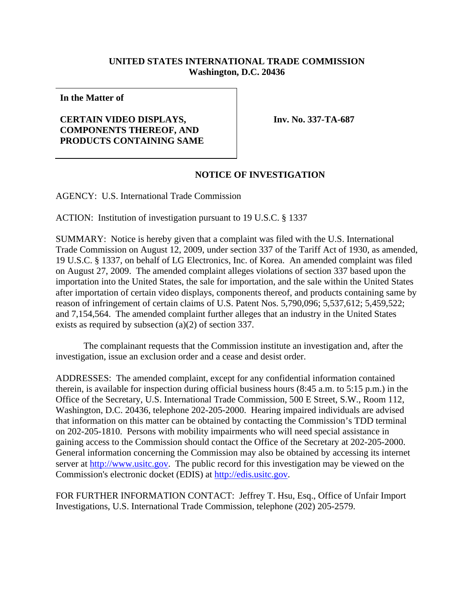## **UNITED STATES INTERNATIONAL TRADE COMMISSION Washington, D.C. 20436**

**In the Matter of** 

## **CERTAIN VIDEO DISPLAYS, COMPONENTS THEREOF, AND PRODUCTS CONTAINING SAME**

**Inv. No. 337-TA-687** 

## **NOTICE OF INVESTIGATION**

AGENCY: U.S. International Trade Commission

ACTION: Institution of investigation pursuant to 19 U.S.C. § 1337

SUMMARY: Notice is hereby given that a complaint was filed with the U.S. International Trade Commission on August 12, 2009, under section 337 of the Tariff Act of 1930, as amended, 19 U.S.C. § 1337, on behalf of LG Electronics, Inc. of Korea. An amended complaint was filed on August 27, 2009. The amended complaint alleges violations of section 337 based upon the importation into the United States, the sale for importation, and the sale within the United States after importation of certain video displays, components thereof, and products containing same by reason of infringement of certain claims of U.S. Patent Nos. 5,790,096; 5,537,612; 5,459,522; and 7,154,564. The amended complaint further alleges that an industry in the United States exists as required by subsection (a)(2) of section 337.

 The complainant requests that the Commission institute an investigation and, after the investigation, issue an exclusion order and a cease and desist order.

ADDRESSES: The amended complaint, except for any confidential information contained therein, is available for inspection during official business hours (8:45 a.m. to 5:15 p.m.) in the Office of the Secretary, U.S. International Trade Commission, 500 E Street, S.W., Room 112, Washington, D.C. 20436, telephone 202-205-2000. Hearing impaired individuals are advised that information on this matter can be obtained by contacting the Commission's TDD terminal on 202-205-1810. Persons with mobility impairments who will need special assistance in gaining access to the Commission should contact the Office of the Secretary at 202-205-2000. General information concerning the Commission may also be obtained by accessing its internet server at http://www.usitc.gov. The public record for this investigation may be viewed on the Commission's electronic docket (EDIS) at http://edis.usitc.gov.

FOR FURTHER INFORMATION CONTACT: Jeffrey T. Hsu, Esq., Office of Unfair Import Investigations, U.S. International Trade Commission, telephone (202) 205-2579.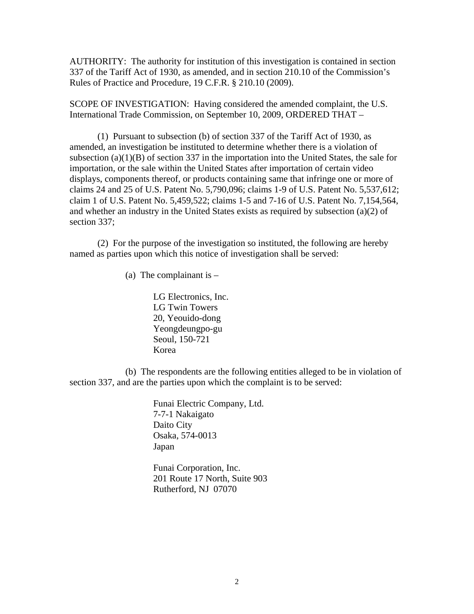AUTHORITY: The authority for institution of this investigation is contained in section 337 of the Tariff Act of 1930, as amended, and in section 210.10 of the Commission's Rules of Practice and Procedure, 19 C.F.R. § 210.10 (2009).

SCOPE OF INVESTIGATION: Having considered the amended complaint, the U.S. International Trade Commission, on September 10, 2009, ORDERED THAT –

 (1) Pursuant to subsection (b) of section 337 of the Tariff Act of 1930, as amended, an investigation be instituted to determine whether there is a violation of subsection  $(a)(1)(B)$  of section 337 in the importation into the United States, the sale for importation, or the sale within the United States after importation of certain video displays, components thereof, or products containing same that infringe one or more of claims 24 and 25 of U.S. Patent No. 5,790,096; claims 1-9 of U.S. Patent No. 5,537,612; claim 1 of U.S. Patent No. 5,459,522; claims 1-5 and 7-16 of U.S. Patent No. 7,154,564, and whether an industry in the United States exists as required by subsection (a)(2) of section 337;

 (2) For the purpose of the investigation so instituted, the following are hereby named as parties upon which this notice of investigation shall be served:

(a) The complainant is  $-$ 

 LG Electronics, Inc. LG Twin Towers 20, Yeouido-dong Yeongdeungpo-gu Seoul, 150-721 Korea

 (b) The respondents are the following entities alleged to be in violation of section 337, and are the parties upon which the complaint is to be served:

> Funai Electric Company, Ltd. 7-7-1 Nakaigato Daito City Osaka, 574-0013 Japan

 Funai Corporation, Inc. 201 Route 17 North, Suite 903 Rutherford, NJ 07070